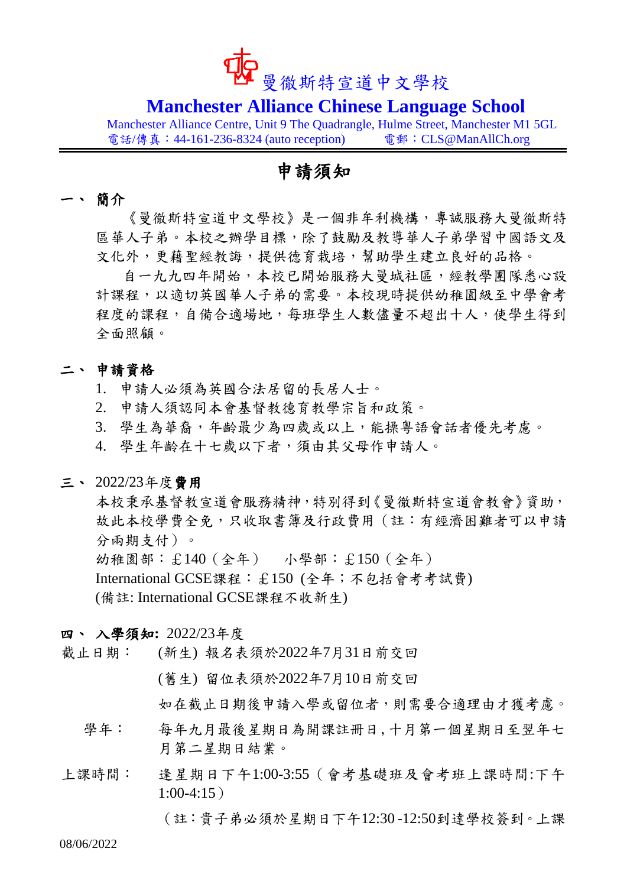

## **Manchester Alliance Chinese Language School**

Manchester Alliance Centre, Unit 9 The Quadrangle, Hulme Street, Manchester M1 5GL 電話/傳真: 44-161-236-8324 (auto reception) 電郵: CLS@ManAllCh.org

## 申請須知

### 一、 簡介

《曼徹斯特宣道中文學校》是一個非牟利機構,專誠服務大曼徹斯特 區華人子弟。本校之辦學目標,除了鼓勵及教導華人子弟學習中國語文及 文化外,更藉聖經教誨,提供德育栽培,幫助學生建立良好的品格。

自一九九四年開始,本校已開始服務大曼城社區,經教學團隊悉心設 計課程,以適切英國華人子弟的需要。本校現時提供幼稚園級至中學會考 程度的課程,自備合適場地,每班學生人數儘量不超出十人,使學生得到 全面照顧。

### 二、 申請資格

- 1. 申請人必須為英國合法居留的長居人士。
- 2. 申請人須認同本會基督教德育教學宗旨和政策。
- 3. 學生為華裔,年齡最少為四歲或以上,能操粵語會話者優先考慮。
- 4. 學生年齡在十七歲以下者,須由其父母作申請人。

#### 三、 2022/23年度費用

本校秉承基督教宣道會服務精神,特別得到《曼徹斯特宣道會教會》資助, 故此本校學費全免,只收取書簿及行政費用(註:有經濟困難者可以申請 分兩期支付)。

幼稚園部:£140(全年) 小學部:£150(全年)

International GCSE課程:£150 (全年;不包括會考考試費)

(備註: International GCSE課程不收新生)

### 四、 入學須知**:** 2022/23年度

- 截止日期: (新生) 報名表須於2022年7月31日前交回
	- (舊生) 留位表須於2022年7月10日前交回

如在截止日期後申請入學或留位者,則需要合適理由才獲考慮。

- 學年: 每年九月最後星期日為開課註冊日,十月第一個星期日至翌年七 月第二星期日結業。
- 上課時間: 逢星期日下午1:00-3:55(會考基礎班及會考班上課時間:下午  $1:00-4:15$ )

(註:貴子弟必須於星期日下午12:30 -12:50到達學校簽到。上課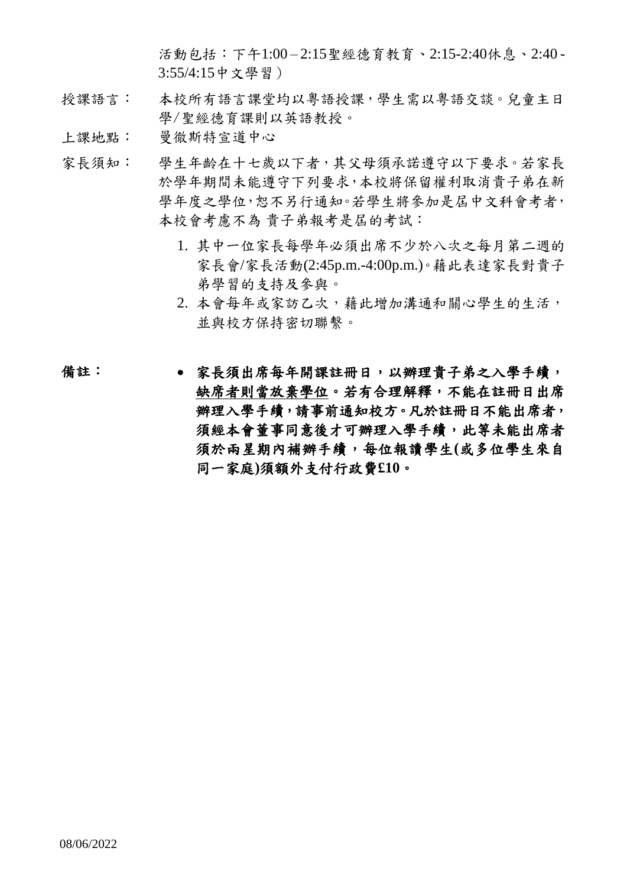活動包括:下午1:00 – 2:15聖經德育教育、2:15-2:40休息、2:40 - 3:55/4:15中文學習)

- 授課語言: 本校所有語言課堂均以粵語授課,學生需以粵語交談。兒童主日 學/聖經德育課則以英語教授。
- 上課地點: 曼徹斯特宣道中心
- 家長須知: 學生年齡在十七歲以下者,其父母須承諾遵守以下要求。若家長 於學年期間未能遵守下列要求,本校將保留權利取消貴子弟在新 學年度之學位,恕不另行通知。若學生將參加是屆中文科會考者, 本校會考慮不為 貴子弟報考是屆的考試:
	- 1. 其中一位家長每學年必須出席不少於八次之每月第二週的 家長會/家長活動(2:45p.m.-4:00p.m.)。藉此表達家長對貴子 弟學習的支持及參與。
	- 2. 本會每年或家訪乙次,藉此增加溝通和關心學生的生活, 並與校方保持密切聯繫。
- 備註: 家長須出席每年開課註冊日,以辦理貴子弟之入學手續, 缺席者則當放棄學位。若有合理解釋,不能在註冊日出席 辦理入學手續,請事前通知校方。凡於註冊日不能出席者, 須經本會董事同意後才可辦理入學手續,此等未能出席者 須於兩星期內補辦手續,每位報讀學生**(**或多位學生來自 同一家庭**)**須額外支付行政費**£10**。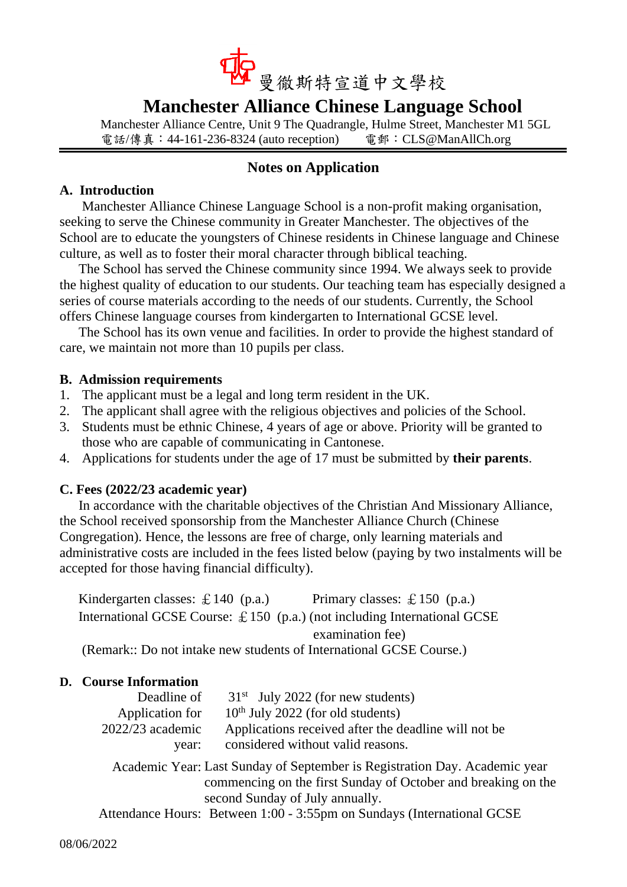

# **Manchester Alliance Chinese Language School**

Manchester Alliance Centre, Unit 9 The Quadrangle, Hulme Street, Manchester M1 5GL 電話/傳真: 44-161-236-8324 (auto reception) 電郵: CLS@ManAllCh.org

### **Notes on Application**

### **A. Introduction**

Manchester Alliance Chinese Language School is a non-profit making organisation, seeking to serve the Chinese community in Greater Manchester. The objectives of the School are to educate the youngsters of Chinese residents in Chinese language and Chinese culture, as well as to foster their moral character through biblical teaching.

The School has served the Chinese community since 1994. We always seek to provide the highest quality of education to our students. Our teaching team has especially designed a series of course materials according to the needs of our students. Currently, the School offers Chinese language courses from kindergarten to International GCSE level.

The School has its own venue and facilities. In order to provide the highest standard of care, we maintain not more than 10 pupils per class.

### **B. Admission requirements**

- 1. The applicant must be a legal and long term resident in the UK.
- 2. The applicant shall agree with the religious objectives and policies of the School.
- 3. Students must be ethnic Chinese, 4 years of age or above. Priority will be granted to those who are capable of communicating in Cantonese.
- 4. Applications for students under the age of 17 must be submitted by **their parents**.

### **C. Fees (2022/23 academic year)**

In accordance with the charitable objectives of the Christian And Missionary Alliance, the School received sponsorship from the Manchester Alliance Church (Chinese Congregation). Hence, the lessons are free of charge, only learning materials and administrative costs are included in the fees listed below (paying by two instalments will be accepted for those having financial difficulty).

| Kindergarten classes: $\pounds 140$ (p.a.) | Primary classes: $\pounds 150$ (p.a.)                                             |
|--------------------------------------------|-----------------------------------------------------------------------------------|
|                                            | International GCSE Course: $\pounds$ 150 (p.a.) (not including International GCSE |
|                                            | examination fee)                                                                  |
|                                            | (Remark:: Do not intake new students of International GCSE Course.)               |

### **D. Course Information**

| Deadline of        | $31st$ July 2022 (for new students)                                |
|--------------------|--------------------------------------------------------------------|
| Application for    | $10th$ July 2022 (for old students)                                |
| $2022/23$ academic | Applications received after the deadline will not be               |
| vear:              | considered without valid reasons.                                  |
|                    | Academic Veem Leet Cunday of Contemporte Decistration Day Academic |

Academic Year: Last Sunday of September is Registration Day. Academic year commencing on the first Sunday of October and breaking on the second Sunday of July annually.

Attendance Hours: Between 1:00 - 3:55pm on Sundays (International GCSE